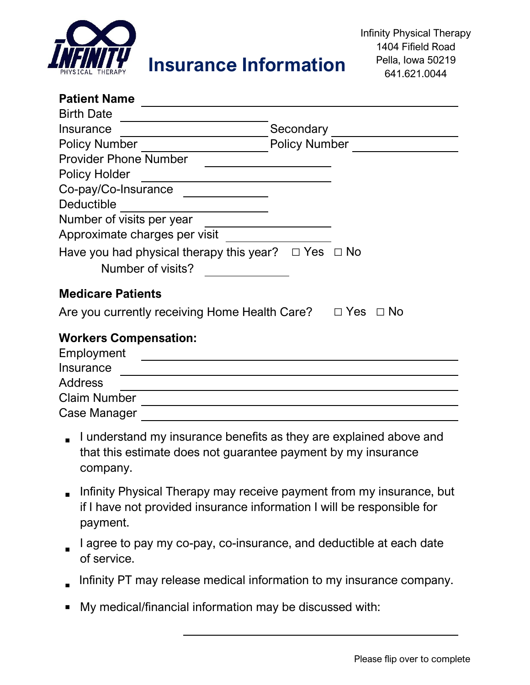

## **Insurance Information**

| <b>Patient Name</b>                                                      |                         |  |  |
|--------------------------------------------------------------------------|-------------------------|--|--|
| <b>Birth Date</b>                                                        |                         |  |  |
| Insurance                                                                | Secondary               |  |  |
| <b>Policy Number</b>                                                     | <b>Policy Number</b>    |  |  |
| <b>Provider Phone Number</b>                                             |                         |  |  |
| <b>Policy Holder</b>                                                     |                         |  |  |
| Co-pay/Co-Insurance                                                      |                         |  |  |
| Deductible                                                               |                         |  |  |
| Number of visits per year                                                |                         |  |  |
| Approximate charges per visit                                            |                         |  |  |
| Have you had physical therapy this year? $\Box$ Yes<br>Number of visits? | $\Box$ No               |  |  |
| <b>Medicare Patients</b>                                                 |                         |  |  |
| Are you currently receiving Home Health Care?                            | $\Box$ Yes<br>$\Box$ No |  |  |
| <b>Workers Compensation:</b><br>Employment<br>Insurance                  |                         |  |  |
| <b>Address</b>                                                           |                         |  |  |
| <b>Claim Number</b>                                                      |                         |  |  |
| Case Manager                                                             |                         |  |  |
|                                                                          |                         |  |  |

- I understand my insurance benefits as they are explained above and<br>that this estimate dasa not guarantee normant by my insurance that this estimate does not guarantee payment by my insurance company.
- Infinity Physical Therapy may receive payment from my insurance, but if I have not provided insurance information I will be responsible for payment.
- I agree to pay my co-pay, co-insurance, and deductible at each date of service.
- Infinity PT may release medical information to my insurance company.
- My medical/financial information may be discussed with: